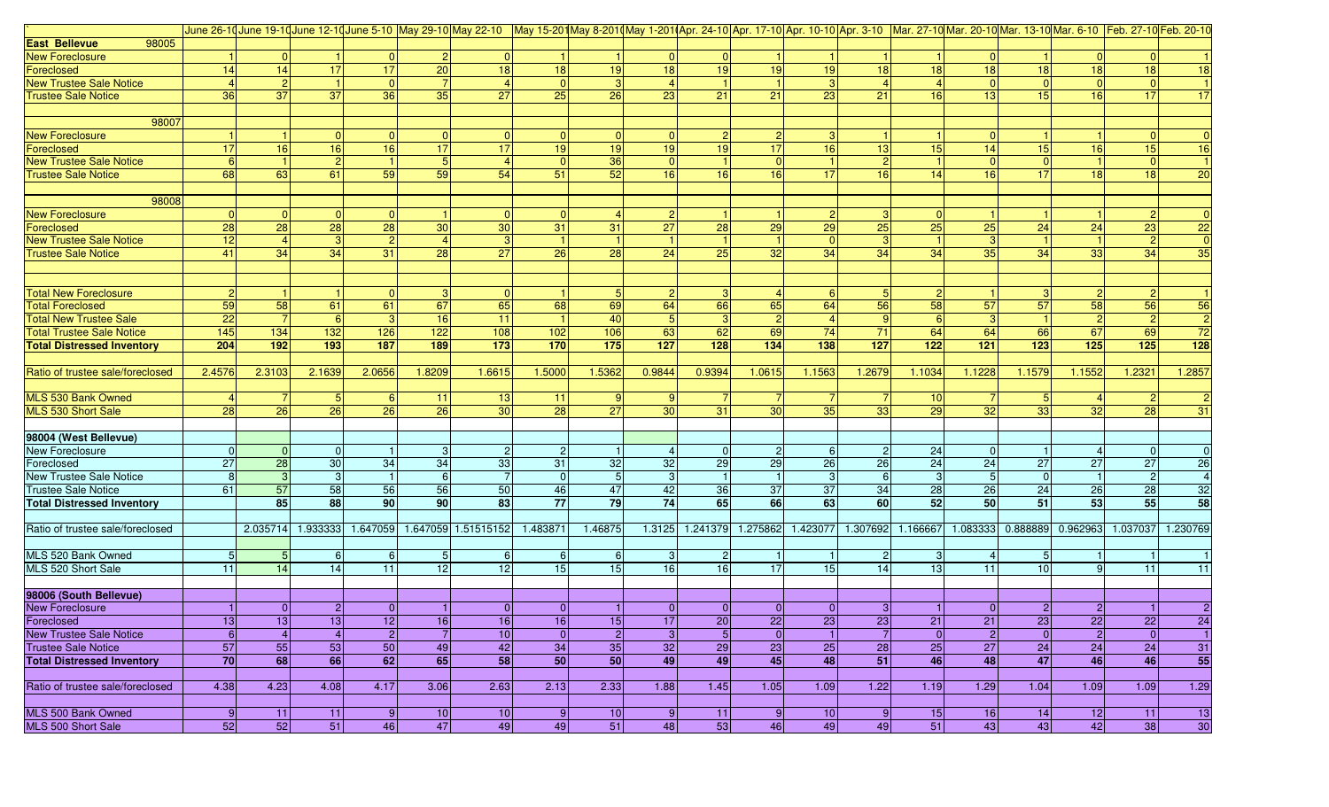|                                              |                |                |                |                 |                 | June 26-10 June 19-10 June 12-10 June 5-10 May 29-10 May 22-10 May 15-20 May 8-2010 May 1-2010 Apr. 24-10 Apr. 17-10 Apr. 10-10 Apr. 10-10 Mar. 27-10 Mar. 20-10 Mar. 13-10 Mar. 6-10 Feb. 27-10 Feb. 27-10 Feb. 20-10 |                 |           |                  |                |                 |                |                 |                 |                 |                |              |                |                                   |
|----------------------------------------------|----------------|----------------|----------------|-----------------|-----------------|------------------------------------------------------------------------------------------------------------------------------------------------------------------------------------------------------------------------|-----------------|-----------|------------------|----------------|-----------------|----------------|-----------------|-----------------|-----------------|----------------|--------------|----------------|-----------------------------------|
| <b>East Bellevue</b><br>98005                |                |                |                |                 |                 |                                                                                                                                                                                                                        |                 |           |                  |                |                 |                |                 |                 |                 |                |              |                |                                   |
| New Foreclosure                              |                | $\Omega$       |                | $\overline{0}$  | 2               | $\overline{0}$                                                                                                                                                                                                         |                 |           |                  | $\Omega$       |                 |                |                 |                 |                 |                |              |                |                                   |
| Foreclosed                                   | 14             | 14             | 17             | 17              | $\overline{20}$ | 18                                                                                                                                                                                                                     | 18              | 19        | 18               | 19             | 19              | 19             | 18              | 18              | 18              | 18             | 18           | 18             | 18                                |
| <b>New Trustee Sale Notice</b>               |                |                |                | $\overline{0}$  |                 |                                                                                                                                                                                                                        |                 |           |                  |                |                 | $\mathbf{3}$   | $\overline{4}$  |                 |                 | $\Omega$       |              |                |                                   |
| <b>Trustee Sale Notice</b>                   | 36             | 37             | 37             | 36              | 35              | 27                                                                                                                                                                                                                     | 25              | 26        | 23               | 21             | 21              | 23             | 21              | 16              | 13              | 15             | 16           | 17             | 17                                |
|                                              |                |                |                |                 |                 |                                                                                                                                                                                                                        |                 |           |                  |                |                 |                |                 |                 |                 |                |              |                |                                   |
| 98007                                        |                |                |                |                 |                 |                                                                                                                                                                                                                        |                 |           |                  |                |                 |                |                 |                 |                 |                |              |                |                                   |
| <b>New Foreclosure</b>                       |                |                | $\overline{0}$ | 0               | $\Omega$        | $\overline{0}$                                                                                                                                                                                                         |                 | $\Omega$  | $\overline{0}$   | 2              | $\mathbf{2}$    | $\vert$ 3      |                 |                 |                 |                |              |                | $\Omega$                          |
| Foreclosed                                   | 17             | 16             | 16             | 16              | 17              | 17                                                                                                                                                                                                                     | 19 <sup>1</sup> | 19        | 19               | 19             | 17              | 16             | 13              | 15              | 14              | 15             | 16           | 15             | 16                                |
| <b>New Trustee Sale Notice</b>               | 6 <sup>1</sup> |                | $\overline{2}$ |                 | 5               | 4                                                                                                                                                                                                                      |                 | 36        | $\overline{0}$   |                |                 |                | $\vert$ 2       |                 |                 | $\Omega$       |              |                |                                   |
| <b>Trustee Sale Notice</b>                   | 68             | 63             | 61             | 59              | 59              | 54                                                                                                                                                                                                                     | 51              | 52        | 16               | 16             | 16              | 17             | 16              | 14              | 16              | 17             | 18           | 18             | 20                                |
|                                              |                |                |                |                 |                 |                                                                                                                                                                                                                        |                 |           |                  |                |                 |                |                 |                 |                 |                |              |                |                                   |
| 98008                                        |                |                |                |                 |                 |                                                                                                                                                                                                                        |                 |           |                  |                |                 |                |                 |                 |                 |                |              |                |                                   |
| <b>New Foreclosure</b>                       | $\Omega$       | $\Omega$       | $\overline{0}$ | 0               |                 | 0                                                                                                                                                                                                                      |                 |           |                  |                |                 | 2              | 3               |                 |                 |                |              |                | $\Omega$                          |
| Foreclosed                                   | 28             | 28             | 28             | 28              | 30              | 30 <sup>°</sup>                                                                                                                                                                                                        | 31              | 31        | 27               | 28             | 29              | 29             | 25              | 25              | 25              | 24             | 24           | 23             | $\overline{22}$                   |
| <b>New Trustee Sale Notice</b>               | 12             |                | 3              | $\overline{2}$  |                 |                                                                                                                                                                                                                        |                 |           |                  |                |                 | $\Omega$       | 3               |                 |                 |                |              |                | $\overline{0}$                    |
| <b>Trustee Sale Notice</b>                   | 41             | 34             | 34             | 31              | 28              | $\overline{27}$                                                                                                                                                                                                        | 26              | 28        | $\overline{24}$  | 25             | 32 <sup>°</sup> | 34             | 34              | 34              | 35              | 34             | 33           | 34             | 35                                |
|                                              |                |                |                |                 |                 |                                                                                                                                                                                                                        |                 |           |                  |                |                 |                |                 |                 |                 |                |              |                |                                   |
|                                              |                |                |                |                 |                 |                                                                                                                                                                                                                        |                 |           |                  |                |                 |                |                 |                 |                 |                |              |                |                                   |
| <b>Total New Foreclosure</b>                 | $\mathcal{P}$  |                |                | $\Omega$        | 3               | 0                                                                                                                                                                                                                      |                 |           |                  |                |                 | -6             | 5 <sub>l</sub>  |                 |                 |                |              |                |                                   |
| <b>Total Foreclosed</b>                      | 59             | 58             | 61             | 61              | 67              | 65                                                                                                                                                                                                                     | 68              | 69        | 64               | 66             | 65              | 64             | 56              | 58              | 57              | 57             | 58           | 56             | 56                                |
| <b>Total New Trustee Sale</b>                | 22             |                | 6              | 3 <sup>1</sup>  | 16              | 11                                                                                                                                                                                                                     |                 | 40        | 5                | 3              | $\overline{2}$  | $\overline{4}$ | 9               |                 |                 |                |              | $\overline{2}$ | $\overline{2}$                    |
| <b>Total Trustee Sale Notice</b>             | 145            | 134            | 132            | 126             | 122             | 108                                                                                                                                                                                                                    | 102             | 106       | 63               | 62             | 69              | 74             | 71              | 64              | 64              | 66             | 67           | 69             | 72                                |
| <b>Total Distressed Inventory</b>            | 204            | 192            | 193            | 187             | 189             | 173                                                                                                                                                                                                                    | 170             | 175       | $\overline{127}$ | 128            | 134             | 138            | 127             | 122             | 121             | $123$          | 125          | 125            | $\overline{128}$                  |
|                                              |                |                |                |                 |                 |                                                                                                                                                                                                                        |                 |           |                  |                |                 |                |                 |                 |                 |                |              |                |                                   |
| Ratio of trustee sale/foreclosed             | 2.4576         |                |                |                 |                 |                                                                                                                                                                                                                        |                 |           |                  |                |                 |                | 1.2679          |                 | 1.1228          |                |              |                |                                   |
|                                              |                | 2.3103         | 2.1639         | 2.0656          | 1.8209          | 1.6615                                                                                                                                                                                                                 | 1.5000          | 1.5362    | 0.9844           | 0.9394         | 1.0615          | 1.1563         |                 | 1.1034          |                 | 1.1579         | 1.1552       | 1.232          | 1.2857                            |
|                                              |                |                |                |                 |                 |                                                                                                                                                                                                                        |                 |           |                  |                |                 |                |                 |                 |                 |                |              |                |                                   |
| MLS 530 Bank Owned                           |                |                | -5<br>26       | 6               | 11              | 13                                                                                                                                                                                                                     | 11<br>28        | 9         | 30               |                |                 |                |                 | 10              |                 |                |              |                |                                   |
| MLS 530 Short Sale                           | 28             | 26             |                | 26              | 26              | 30 <sup>1</sup>                                                                                                                                                                                                        |                 | 27        |                  | 31             | 30              | 35             | 33              | 29              | 32              | 33             | 32           | 28             | 31                                |
|                                              |                |                |                |                 |                 |                                                                                                                                                                                                                        |                 |           |                  |                |                 |                |                 |                 |                 |                |              |                |                                   |
| 98004 (West Bellevue)                        | $\Omega$       |                |                |                 |                 |                                                                                                                                                                                                                        |                 |           |                  |                |                 |                |                 |                 |                 |                |              |                |                                   |
| New Foreclosure                              |                | $\overline{0}$ | $\overline{0}$ |                 | 3               | $\mathbf{2}$                                                                                                                                                                                                           |                 |           |                  | $\Omega$       | $\overline{2}$  | -6<br>26       | $\overline{2}$  | 24              |                 |                | 27           |                |                                   |
| Foreclosed<br><b>New Trustee Sale Notice</b> | 27             | 28             | 30             | 34              | 34              | 33                                                                                                                                                                                                                     | 31              | 32        | 32<br>-3         | 29             | 29              |                | $\overline{26}$ | 24              | 24              | 27<br>$\Omega$ |              | 27             | $\overline{26}$<br>$\overline{4}$ |
|                                              | 8              | 3              | 3              |                 | 6               |                                                                                                                                                                                                                        |                 |           |                  |                |                 | 3              | $6 \mid$        | 3               |                 |                |              | $\overline{2}$ |                                   |
| <b>Trustee Sale Notice</b>                   | 61             | 57             | 58             | 56              | 56              | 50                                                                                                                                                                                                                     | 46              | 47        | 42               | 36             | 37              | 37             | 34              | 28              | $\overline{26}$ | 24             | 26           | 28             | 32                                |
| <b>Total Distressed Inventory</b>            |                | 85             | 88             | 90 <sub>1</sub> | 90              | 83                                                                                                                                                                                                                     | 77              | 79        | 74               | 65             | 66              | 63             | <b>60</b>       | 52              | 50              | 51             | 53           | 55             | 58                                |
|                                              |                |                |                |                 |                 |                                                                                                                                                                                                                        |                 |           |                  |                |                 |                |                 |                 |                 |                |              |                |                                   |
| Ratio of trustee sale/foreclosed             |                | 2.035714       | 1.933333       | 1.647059        |                 | 1.647059 1.51515152                                                                                                                                                                                                    | 1.483871        | 1.46875   | 1.3125           | 1.241379       | 1.275862        | 1.423077       | 1.307692        | 1.166667        | 1.083333        | 0.88889        | 0.962963     | 1.037037       | 1.230769                          |
|                                              |                |                |                |                 |                 |                                                                                                                                                                                                                        |                 |           |                  |                |                 |                |                 |                 |                 |                |              |                |                                   |
| MLS 520 Bank Owned                           | 5              |                | -6             | 6               | 5               | 6                                                                                                                                                                                                                      |                 | 6         | -3               |                |                 |                | $\overline{c}$  | 3               |                 | 5              |              |                |                                   |
| MLS 520 Short Sale                           | 11             | 14             | 14             | 11              | 12              | 12                                                                                                                                                                                                                     | 15              | 15        | 16               | 16             | 17              | 15             | 14              | 13 <sup>1</sup> | 11              | 10             |              | 11             | 11                                |
|                                              |                |                |                |                 |                 |                                                                                                                                                                                                                        |                 |           |                  |                |                 |                |                 |                 |                 |                |              |                |                                   |
| 98006 (South Bellevue)                       |                |                |                |                 |                 |                                                                                                                                                                                                                        |                 |           |                  |                |                 |                |                 |                 |                 |                |              |                |                                   |
| <b>New Foreclosure</b>                       |                | $\overline{0}$ | $\mathbf{2}$   | $\overline{0}$  |                 | 0                                                                                                                                                                                                                      |                 |           | $\overline{0}$   | $\Omega$       | $\overline{0}$  | $\overline{0}$ | 3 <sup>1</sup>  |                 |                 | 2              |              |                |                                   |
| Foreclosed                                   | 13             | 13             | 13             | 12              | 16              | 16                                                                                                                                                                                                                     | 16              | 15        | 17               | 20             | 22              | 23             | $\frac{23}{7}$  | 21              | 21              | 23             | 22           | 22             | 24                                |
| <b>New Trustee Sale Notice</b>               | 6              | $\overline{4}$ | $\overline{4}$ | $\overline{2}$  | $\overline{7}$  | 10                                                                                                                                                                                                                     | $\overline{0}$  | $\vert$ 2 | $\mathbf{3}$     | $\overline{5}$ | $\overline{0}$  | $\overline{1}$ |                 | 0               | $\vert$ 2       | $\overline{0}$ | $\mathbf{2}$ | $\overline{0}$ | $\overline{1}$                    |
| <b>Trustee Sale Notice</b>                   | 57             | 55             | 53             | 50              | 49              | 42                                                                                                                                                                                                                     | 34              | 35        | 32               | 29             | 23              | 25             | 28              | 25              | 27              | 24             | 24           | 24             | 31                                |
| <b>Total Distressed Inventory</b>            | 70             | 68             | 66             | 62              | 65              | 58                                                                                                                                                                                                                     | 50              | 50        | 49               | 49             | 45              | 48             | $\overline{51}$ | 46              | 48              | 47             | 46           | 46             | 55                                |
|                                              |                |                |                |                 |                 |                                                                                                                                                                                                                        |                 |           |                  |                |                 |                |                 |                 |                 |                |              |                |                                   |
| Ratio of trustee sale/foreclosed             | 4.38           | 4.23           | 4.08           | 4.17            | 3.06            | 2.63                                                                                                                                                                                                                   | 2.13            | 2.33      | 1.88             | 1.45           | 1.05            | 1.09           | 1.22            | 1.19            | 1.29            | 1.04           | 1.09         | 1.09           | 1.29                              |
|                                              |                |                |                |                 |                 |                                                                                                                                                                                                                        |                 |           |                  |                |                 |                |                 |                 |                 |                |              |                |                                   |
| MLS 500 Bank Owned                           |                | 11             | 11             | 9               | 10              | 10                                                                                                                                                                                                                     |                 | 10        | 9                | 11             | 9 <sub>l</sub>  | 10             | 9               | 15              | 16              | 14             | 12           | 11             | 13                                |
| MLS 500 Short Sale                           | 52             | 52             | 51             | 46              | 47              | 49                                                                                                                                                                                                                     | 49              | 51        | 48               | 53             | 46              | 49             | 49              | 51              | 43              | 43             | 42           | 38             | 30                                |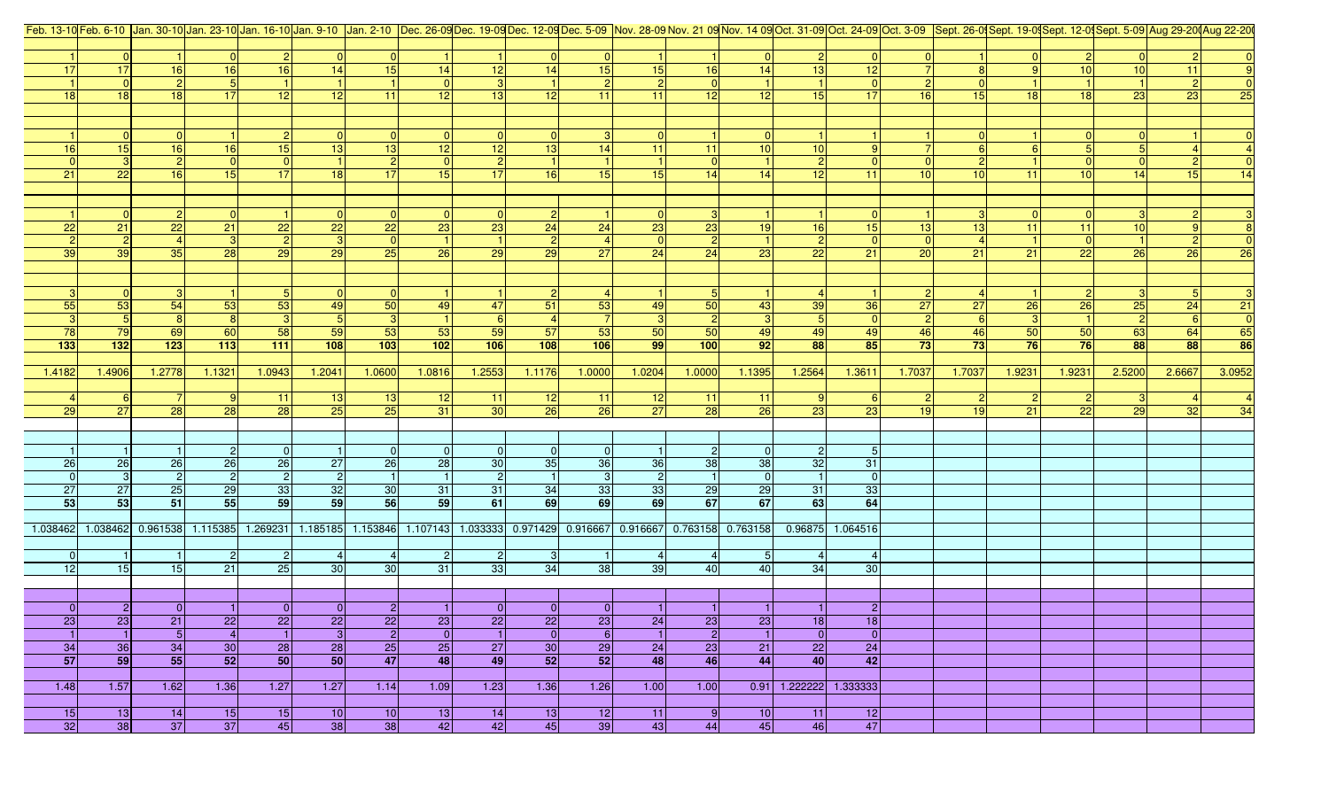| Feb. 13-10 Feb. 6-10   Jan. 30-10 Jan. 23-10 Jan. 23-10 Jan. 16-10 Jan. 2-10   Jan. 2-10   Jan. 2-10   Jan. 2-10   Dec. 26-09 Dec. 19-09 Dec. 12-09 Dec. 12-09 Dec. 5-09   Nov. 28-09 Nov. 21 09 Nov. 21 09 Nov. 14 09 Oct. 31 |                 |                |                                     |                 |                       |                       |                |                                                                                  |                       |                 |                |           |                       |                |                          |                |                 |        |                 |        |        |        |
|--------------------------------------------------------------------------------------------------------------------------------------------------------------------------------------------------------------------------------|-----------------|----------------|-------------------------------------|-----------------|-----------------------|-----------------------|----------------|----------------------------------------------------------------------------------|-----------------------|-----------------|----------------|-----------|-----------------------|----------------|--------------------------|----------------|-----------------|--------|-----------------|--------|--------|--------|
|                                                                                                                                                                                                                                |                 |                |                                     |                 |                       |                       |                |                                                                                  |                       |                 |                |           |                       |                |                          |                |                 |        |                 |        |        |        |
|                                                                                                                                                                                                                                | 0               |                |                                     |                 | $\overline{0}$        |                       |                |                                                                                  |                       | 0               |                |           |                       | 2 <sup>1</sup> | 0                        |                |                 |        |                 |        |        |        |
|                                                                                                                                                                                                                                | 17              | 16             | 16                                  | 16 <sup>1</sup> | 14                    | 15                    | 14             | 12                                                                               | 14                    | 15              | 15             | 16        | 14                    | 13             | 12                       |                |                 |        | 10              | 10     | 11     |        |
|                                                                                                                                                                                                                                | 0               | $\overline{2}$ | 5 <sub>l</sub>                      |                 |                       |                       |                |                                                                                  |                       | 2 <sup>1</sup>  | $\vert$ 2      |           |                       |                | 0                        | $\overline{2}$ |                 |        |                 |        |        |        |
| 18                                                                                                                                                                                                                             | 18              | 18             | 17                                  | 12              | 12                    | 11                    | 12             | 13                                                                               | 12                    | 11              | 11             | 12        | 12                    | 15             | 17 <sup>1</sup>          | 16             | 15              | 18     | 18              | 23     | 23     | 25     |
|                                                                                                                                                                                                                                |                 |                |                                     |                 |                       |                       |                |                                                                                  |                       |                 |                |           |                       |                |                          |                |                 |        |                 |        |        |        |
|                                                                                                                                                                                                                                |                 |                |                                     |                 |                       |                       |                |                                                                                  |                       |                 |                |           |                       |                |                          |                |                 |        |                 |        |        |        |
|                                                                                                                                                                                                                                | 0               | $\Omega$       |                                     |                 | $\overline{0}$        |                       | -01            |                                                                                  |                       |                 | $\overline{0}$ |           |                       |                |                          |                |                 |        | $\overline{0}$  |        |        |        |
| 16                                                                                                                                                                                                                             | 15              | 16             | 16                                  | 15              | 13                    | 13                    | 12             | 12                                                                               | 13                    | 14              | 11             | 11        | 10                    | 10             |                          |                |                 |        |                 |        |        |        |
|                                                                                                                                                                                                                                | 3               | $\overline{2}$ | $\overline{0}$                      |                 |                       | $\vert$ 2             | $\overline{0}$ |                                                                                  |                       |                 |                |           |                       | 2              | $\overline{0}$           | $\overline{0}$ |                 |        | $\overline{0}$  |        |        |        |
| 21                                                                                                                                                                                                                             | 22              | 16             | 15                                  | 17 <sup>1</sup> | 18                    | 17                    | 15             | 17                                                                               | 16                    | 15 <sup>1</sup> | 15             | 14        | 14                    | 12             | 11 <sup>1</sup>          | 10             | 10 <sup>1</sup> | 11     | 10 <sup>1</sup> | 14     | 15     | 14     |
|                                                                                                                                                                                                                                |                 |                |                                     |                 |                       |                       |                |                                                                                  |                       |                 |                |           |                       |                |                          |                |                 |        |                 |        |        |        |
|                                                                                                                                                                                                                                |                 |                |                                     |                 |                       |                       |                |                                                                                  |                       |                 |                |           |                       |                |                          |                |                 |        |                 |        |        |        |
|                                                                                                                                                                                                                                | 0               | 2              | -01                                 |                 | $\overline{0}$        | $\overline{0}$        | $\overline{0}$ |                                                                                  |                       |                 | $\overline{0}$ |           |                       |                | $\overline{0}$           |                |                 |        | 0               | -31    |        |        |
| 22                                                                                                                                                                                                                             | 21              | 22             | 21                                  | 22              | $\overline{22}$       | 22                    | 23             | 23                                                                               | 24                    | 24              | 23             | 23        | 19                    | 16             | 15                       | 13             | 13              | 11     | 11              | 10     |        |        |
|                                                                                                                                                                                                                                | $\vert$ 2       |                | $\mathbf{3}$                        |                 | 3                     | 0                     |                |                                                                                  |                       |                 | $\overline{0}$ |           |                       | 2              | $\overline{0}$           | $\overline{0}$ |                 |        | 0               |        |        |        |
| 39                                                                                                                                                                                                                             | 39              | 35             | 28                                  | 29              | 29                    | 25                    | 26             | 29                                                                               | 29                    | 27              | 24             | 24        | 23                    | 22             | 21                       | 20             | 21              | 21     | 22              | 26     | 26     | 26     |
|                                                                                                                                                                                                                                |                 |                |                                     |                 |                       |                       |                |                                                                                  |                       |                 |                |           |                       |                |                          |                |                 |        |                 |        |        |        |
|                                                                                                                                                                                                                                |                 |                |                                     |                 |                       |                       |                |                                                                                  |                       |                 |                |           |                       |                |                          |                |                 |        |                 |        |        |        |
|                                                                                                                                                                                                                                | 0               | 3              |                                     |                 | $\overline{0}$        |                       |                |                                                                                  |                       |                 |                |           |                       |                |                          |                |                 |        | $\overline{2}$  | 3      |        |        |
| 55                                                                                                                                                                                                                             | 53              | 54             | 53                                  | 53              | 49                    | 50                    | 49             | 47                                                                               | 51                    | 53              | 49             | 50        | 43                    | 39             | 36                       | 27             | 27              | 26     | 26              | 25     | 24     | 21     |
|                                                                                                                                                                                                                                | 5 <sup>1</sup>  | 8              | 8                                   |                 | 5 <sub>l</sub>        | $\mathbf{3}$          |                |                                                                                  |                       | <b>7</b>        | $\mathbf{3}$   |           |                       | 5 <sup>1</sup> | 0                        | $\mathbf{2}$   | <b>6</b>        |        | -11             |        |        |        |
| 78                                                                                                                                                                                                                             | 79              | 69             | 60                                  | 58              | 59                    | 53                    | 53             | 59                                                                               | 57                    | 53              | 50             | 50        | 49                    | 49             | 49                       | 46             | 46              | 50     | 50              | 63     | 64     | 65     |
| 133                                                                                                                                                                                                                            | $\boxed{132}$   | $\boxed{123}$  | $\boxed{113}$                       | $111$           | 108                   | 103                   | 102            | 106                                                                              | 108                   | 106             | 99             | 100       | 92                    | 88             | 85                       | 73             | 73              | 76     | 76              | 88     | 88     | 86     |
|                                                                                                                                                                                                                                |                 |                |                                     |                 |                       |                       |                |                                                                                  |                       |                 |                |           |                       |                |                          |                |                 |        |                 |        |        |        |
| 1.4182                                                                                                                                                                                                                         | 1.4906          | 1.2778         | 1.1321                              | 1.0943          | 1.2041                | 1.0600                | 1.0816         | 1.2553                                                                           | 1.1176                | 1.0000          | 1.0204         | 1.0000    | 1.1395                | 1.2564         | 1.3611                   | 1.7037         | 1.7037          | 1.9231 | 1.9231          | 2.5200 | 2.6667 | 3.0952 |
|                                                                                                                                                                                                                                |                 |                |                                     |                 |                       |                       |                |                                                                                  |                       |                 |                |           |                       |                |                          |                |                 |        |                 |        |        |        |
|                                                                                                                                                                                                                                | -61             |                | 9                                   | 11              | 13                    | 13                    | 12             | $-11$<br>30                                                                      | 12                    | 11 <br>26       | 12             | 11        | 11                    | 9              | <sup>6</sup>             | $\mathbf{2}$   |                 |        | $\overline{2}$  |        |        |        |
| 29                                                                                                                                                                                                                             | 27              | 28             | 28                                  | 28              | <b>25</b>             | 25                    | 31             |                                                                                  | $\overline{26}$       |                 | 27             | 28        | 26                    | 23             | 23                       | 19             | 19              | 21     | 22              | 29     | 32     | 34     |
|                                                                                                                                                                                                                                |                 |                |                                     |                 |                       |                       |                |                                                                                  |                       |                 |                |           |                       |                |                          |                |                 |        |                 |        |        |        |
|                                                                                                                                                                                                                                |                 |                | $\overline{2}$                      |                 |                       | $\overline{0}$        | $\overline{0}$ | $\overline{0}$                                                                   |                       | $\overline{0}$  |                | -21       |                       | $\overline{2}$ | 5 <sup>1</sup>           |                |                 |        |                 |        |        |        |
| 26                                                                                                                                                                                                                             | 26              | 26             | 26                                  | 26              | 27                    | 26                    | 28             | 30                                                                               | 35                    | 36              | 36             | 38        | 38                    | 32             | 31                       |                |                 |        |                 |        |        |        |
|                                                                                                                                                                                                                                | $\mathbf{3}$    | $\vert$ 2      | $\vert$ 2                           | $\overline{2}$  | $\vert$ <sup>2</sup>  |                       |                |                                                                                  |                       | 3               | $\overline{c}$ |           |                       |                | $\overline{0}$           |                |                 |        |                 |        |        |        |
| 27                                                                                                                                                                                                                             | 27              | 25             | 29                                  | 33              | 32                    | 30 <sup>1</sup>       | 31             | 31                                                                               | 34                    | 33              | 33             | 29        | 29                    | 31             | 33                       |                |                 |        |                 |        |        |        |
| 53                                                                                                                                                                                                                             | 53              | 51             | 55                                  | 59              | 59                    | 56                    | 59             | 61                                                                               | 69                    | 69              | 69             | 67        | 67                    | 63             | 64                       |                |                 |        |                 |        |        |        |
|                                                                                                                                                                                                                                |                 |                |                                     |                 |                       |                       |                |                                                                                  |                       |                 |                |           |                       |                |                          |                |                 |        |                 |        |        |        |
|                                                                                                                                                                                                                                |                 |                | 1.038462 1.038462 0.961538 1.115385 | 1.269231        |                       |                       |                | 1.185185 1.153846 1.107143 1.033333 0.971429 0.916667 0.916667 0.763158 0.763158 |                       |                 |                |           |                       |                | 0.96875 1.064516         |                |                 |        |                 |        |        |        |
|                                                                                                                                                                                                                                |                 |                |                                     |                 |                       |                       |                |                                                                                  |                       |                 |                |           |                       |                |                          |                |                 |        |                 |        |        |        |
|                                                                                                                                                                                                                                |                 |                | $\mathbf{2}$                        | $\overline{c}$  |                       |                       | $\vert$ 2      |                                                                                  | $\mathbf{3}$          |                 | $\overline{4}$ |           | 5                     | $\frac{4}{ }$  |                          |                |                 |        |                 |        |        |        |
| 12                                                                                                                                                                                                                             | 15              | 15             | 21                                  | 25              | 30                    | 30                    | 31             | 33                                                                               | 34                    | 38              | 39             | 40        | 40                    | 34             | 30                       |                |                 |        |                 |        |        |        |
|                                                                                                                                                                                                                                |                 |                |                                     |                 |                       |                       |                |                                                                                  |                       |                 |                |           |                       |                |                          |                |                 |        |                 |        |        |        |
|                                                                                                                                                                                                                                |                 |                |                                     |                 |                       |                       |                |                                                                                  |                       |                 |                |           |                       |                |                          |                |                 |        |                 |        |        |        |
| $\overline{0}$                                                                                                                                                                                                                 | 2 <sup>1</sup>  | $\overline{0}$ |                                     | $\Omega$        | 0                     | 2 <sup>1</sup>        |                | -OI                                                                              | 0                     | 0               |                |           |                       |                | 2 <sub>1</sub>           |                |                 |        |                 |        |        |        |
| 23                                                                                                                                                                                                                             |                 |                |                                     |                 |                       |                       | 23             | 22                                                                               | 22                    | 23              | 24             | 23        | 23                    | 18             | 18                       |                |                 |        |                 |        |        |        |
|                                                                                                                                                                                                                                |                 |                |                                     | 22              |                       |                       |                |                                                                                  |                       |                 |                |           |                       |                |                          |                |                 |        |                 |        |        |        |
|                                                                                                                                                                                                                                | 23<br>$\vert$ 1 | 21             | 22 <br>$\overline{4}$               | $\overline{1}$  | 22                    | 22                    | 0              |                                                                                  | 0                     | $6 \mid$        | $\vert$ 1      | $\vert$ 2 | -1                    | 0              | 0                        |                |                 |        |                 |        |        |        |
|                                                                                                                                                                                                                                |                 | 5              |                                     |                 | $\overline{3}$        | $\vert$ 2             |                |                                                                                  |                       |                 |                |           |                       |                | 24                       |                |                 |        |                 |        |        |        |
| 34<br>57                                                                                                                                                                                                                       | 36<br>59        | 34<br>55       | 30 <sup>°</sup><br>52               | 28<br>50        | 28<br>50              | 25<br>47              | 25<br>48       | 27<br>49                                                                         | 30 <sub>o</sub><br>52 | 29<br>52        | 24<br>48       | 23<br>46  | 21<br>44              | 22<br>40       | 42                       |                |                 |        |                 |        |        |        |
|                                                                                                                                                                                                                                |                 |                |                                     |                 |                       |                       |                |                                                                                  |                       |                 |                |           |                       |                |                          |                |                 |        |                 |        |        |        |
| 1.48                                                                                                                                                                                                                           | 1.57            | 1.62           | 1.36                                | 1.27            | 1.27                  | 1.14                  | 1.09           | 1.23                                                                             | 1.36                  | 1.26            | 1.00           | 1.00      |                       |                | $0.91$ 1.222222 1.333333 |                |                 |        |                 |        |        |        |
|                                                                                                                                                                                                                                |                 |                |                                     |                 |                       |                       |                |                                                                                  |                       |                 |                |           |                       |                |                          |                |                 |        |                 |        |        |        |
| 15<br>32                                                                                                                                                                                                                       | 13 <br>38       | 14<br>37       | 15<br>37                            | 15<br>45        | 10 <sup>1</sup><br>38 | 10 <sup>1</sup><br>38 | 13 <br>42      | 14<br>42                                                                         | 13                    | 12<br>39        | 11 <br>43      | 9<br>44   | 10 <sup>1</sup><br>45 | 11 <br>46      | 12<br>47                 |                |                 |        |                 |        |        |        |